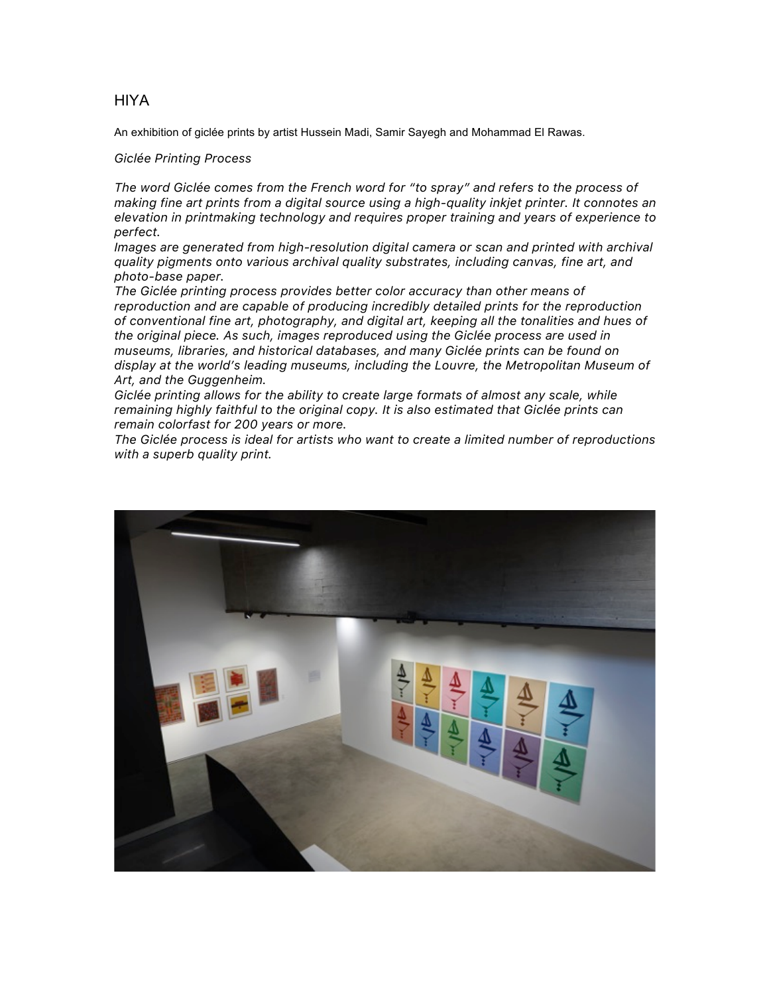## HIYA

An exhibition of giclée prints by artist Hussein Madi, Samir Sayegh and Mohammad El Rawas.

## *Giclée Printing Process*

*The word Giclée comes from the French word for "to spray" and refers to the process of making fine art prints from a digital source using a high-quality inkjet printer. It connotes an elevation in printmaking technology and requires proper training and years of experience to perfect.* 

*Images are generated from high-resolution digital camera or scan and printed with archival quality pigments onto various archival quality substrates, including canvas, fine art, and photo-base paper.* 

*The Giclée printing process provides better color accuracy than other means of reproduction and are capable of producing incredibly detailed prints for the reproduction of conventional fine art, photography, and digital art, keeping all the tonalities and hues of the original piece. As such, images reproduced using the Giclée process are used in museums, libraries, and historical databases, and many Giclée prints can be found on display at the world's leading museums, including the Louvre, the Metropolitan Museum of Art, and the Guggenheim.* 

*Giclée printing allows for the ability to create large formats of almost any scale, while remaining highly faithful to the original copy. It is also estimated that Giclée prints can remain colorfast for 200 years or more.* 

*The Giclée process is ideal for artists who want to create a limited number of reproductions with a superb quality print.*

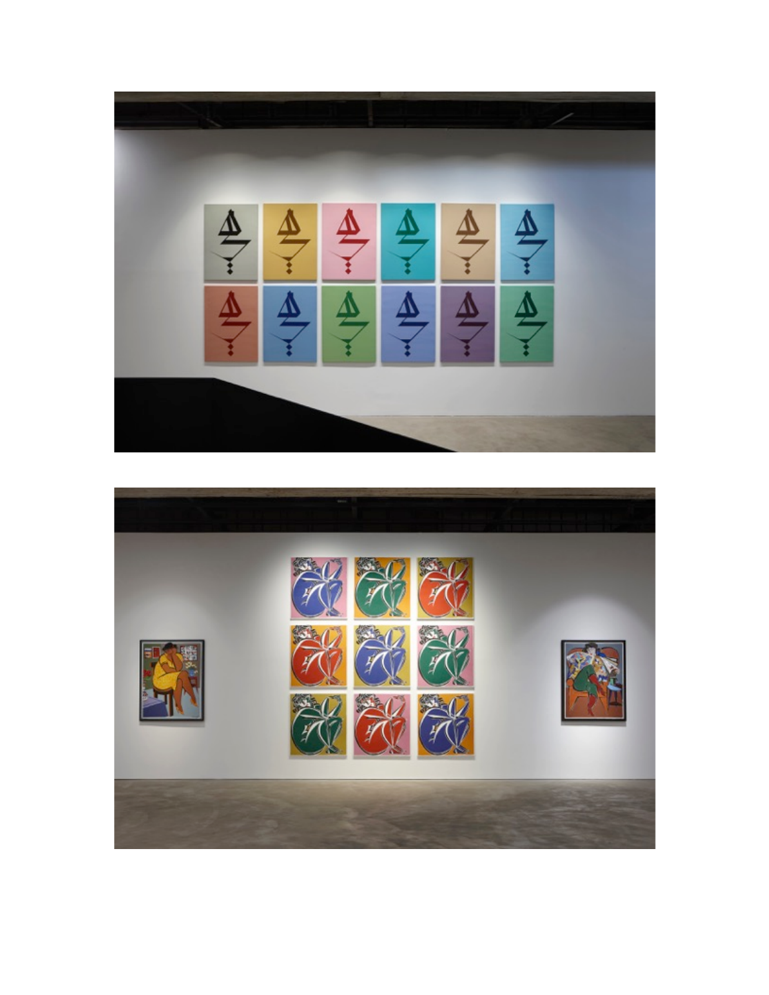

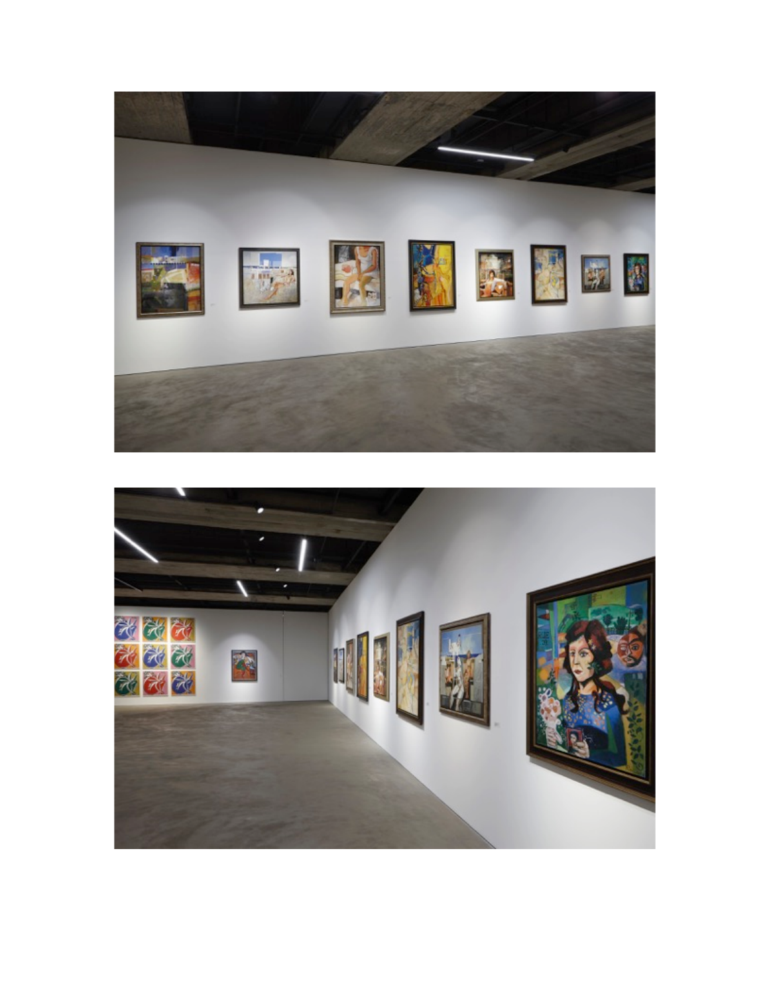